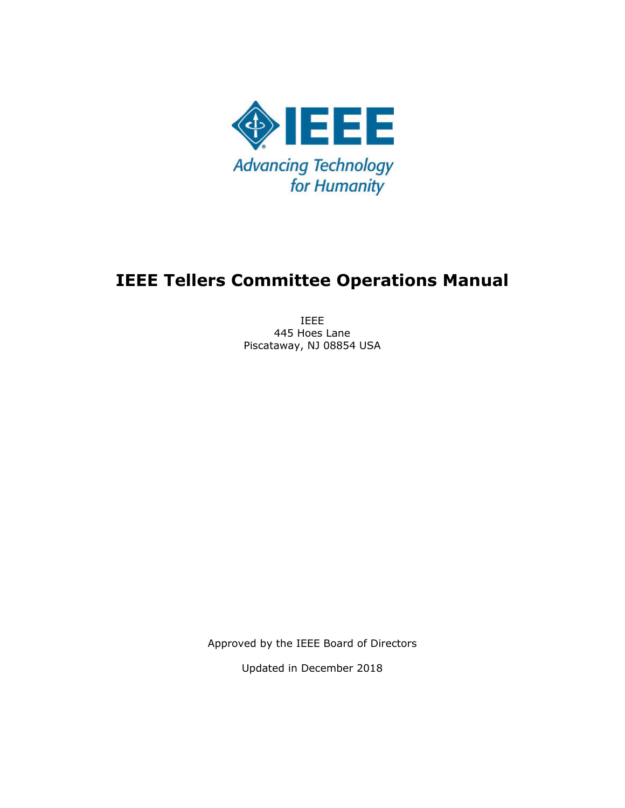

# **IEEE Tellers Committee Operations Manual**

IEEE 445 Hoes Lane Piscataway, NJ 08854 USA

Approved by the IEEE Board of Directors

Updated in December 2018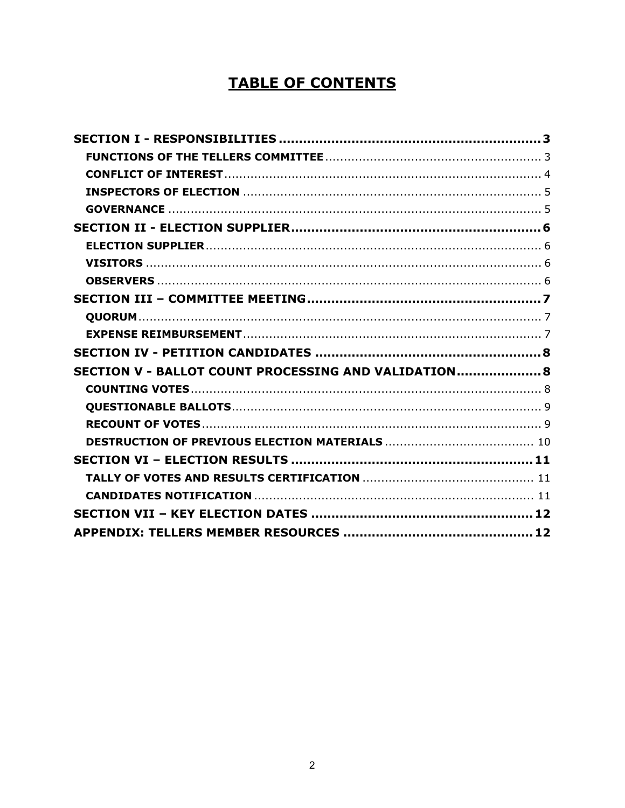# **TABLE OF CONTENTS**

| SECTION V - BALLOT COUNT PROCESSING AND VALIDATION 8 |  |
|------------------------------------------------------|--|
|                                                      |  |
|                                                      |  |
|                                                      |  |
|                                                      |  |
|                                                      |  |
|                                                      |  |
|                                                      |  |
|                                                      |  |
|                                                      |  |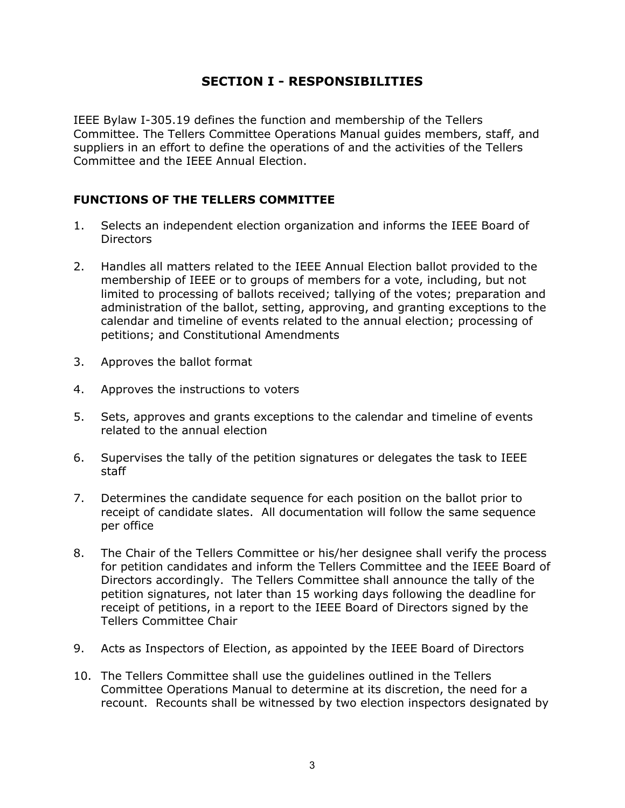# **SECTION I - RESPONSIBILITIES**

IEEE Bylaw I-305.19 defines the function and membership of the Tellers Committee. The Tellers Committee Operations Manual guides members, staff, and suppliers in an effort to define the operations of and the activities of the Tellers Committee and the IEEE Annual Election.

#### **FUNCTIONS OF THE TELLERS COMMITTEE**

- 1. Selects an independent election organization and informs the IEEE Board of **Directors**
- 2. Handles all matters related to the IEEE Annual Election ballot provided to the membership of IEEE or to groups of members for a vote, including, but not limited to processing of ballots received; tallying of the votes; preparation and administration of the ballot, setting, approving, and granting exceptions to the calendar and timeline of events related to the annual election; processing of petitions; and Constitutional Amendments
- 3. Approves the ballot format
- 4. Approves the instructions to voters
- 5. Sets, approves and grants exceptions to the calendar and timeline of events related to the annual election
- 6. Supervises the tally of the petition signatures or delegates the task to IEEE staff
- 7. Determines the candidate sequence for each position on the ballot prior to receipt of candidate slates. All documentation will follow the same sequence per office
- 8. The Chair of the Tellers Committee or his/her designee shall verify the process for petition candidates and inform the Tellers Committee and the IEEE Board of Directors accordingly. The Tellers Committee shall announce the tally of the petition signatures, not later than 15 working days following the deadline for receipt of petitions, in a report to the IEEE Board of Directors signed by the Tellers Committee Chair
- 9. Acts as Inspectors of Election, as appointed by the IEEE Board of Directors
- 10. The Tellers Committee shall use the guidelines outlined in the Tellers Committee Operations Manual to determine at its discretion, the need for a recount. Recounts shall be witnessed by two election inspectors designated by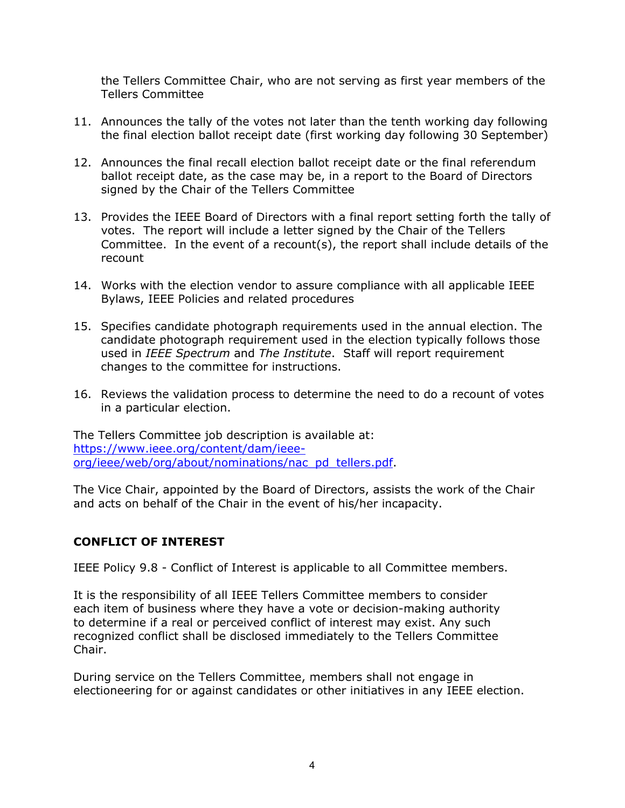the Tellers Committee Chair, who are not serving as first year members of the Tellers Committee

- 11. Announces the tally of the votes not later than the tenth working day following the final election ballot receipt date (first working day following 30 September)
- 12. Announces the final recall election ballot receipt date or the final referendum ballot receipt date, as the case may be, in a report to the Board of Directors signed by the Chair of the Tellers Committee
- 13. Provides the IEEE Board of Directors with a final report setting forth the tally of votes. The report will include a letter signed by the Chair of the Tellers Committee. In the event of a recount(s), the report shall include details of the recount
- 14. Works with the election vendor to assure compliance with all applicable IEEE Bylaws, IEEE Policies and related procedures
- 15. Specifies candidate photograph requirements used in the annual election. The candidate photograph requirement used in the election typically follows those used in *IEEE Spectrum* and *The Institute*. Staff will report requirement changes to the committee for instructions.
- 16. Reviews the validation process to determine the need to do a recount of votes in a particular election.

The Tellers Committee job description is available at: https://www.ieee.org/content/dam/ieeeorg/ieee/web/org/about/nominations/nac\_pd\_tellers.pdf.

The Vice Chair, appointed by the Board of Directors, assists the work of the Chair and acts on behalf of the Chair in the event of his/her incapacity.

#### **CONFLICT OF INTEREST**

IEEE Policy 9.8 - Conflict of Interest is applicable to all Committee members.

It is the responsibility of all IEEE Tellers Committee members to consider each item of business where they have a vote or decision-making authority to determine if a real or perceived conflict of interest may exist. Any such recognized conflict shall be disclosed immediately to the Tellers Committee Chair.

During service on the Tellers Committee, members shall not engage in electioneering for or against candidates or other initiatives in any IEEE election.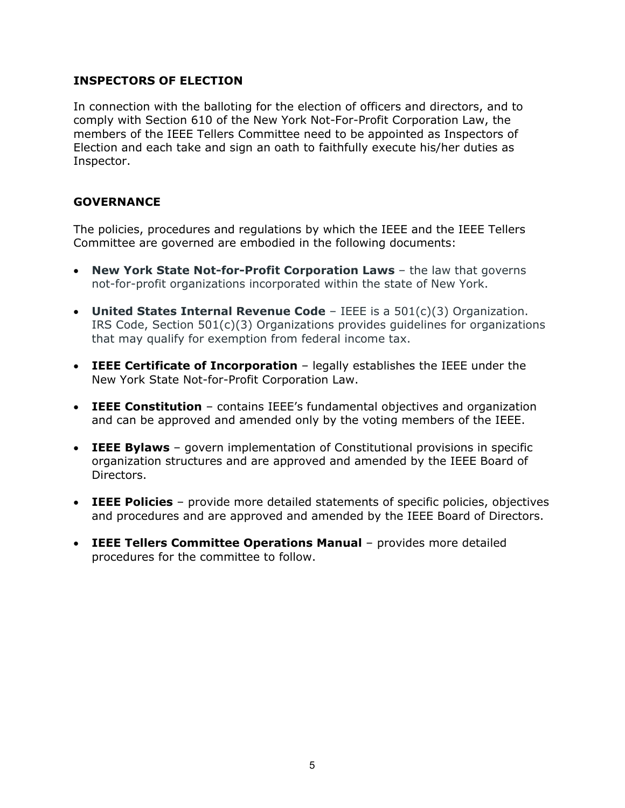#### **INSPECTORS OF ELECTION**

In connection with the balloting for the election of officers and directors, and to comply with Section 610 of the New York Not-For-Profit Corporation Law, the members of the IEEE Tellers Committee need to be appointed as Inspectors of Election and each take and sign an oath to faithfully execute his/her duties as Inspector.

#### **GOVERNANCE**

The policies, procedures and regulations by which the IEEE and the IEEE Tellers Committee are governed are embodied in the following documents:

- **New York State Not-for-Profit Corporation Laws** the law that governs not-for-profit organizations incorporated within the state of New York.
- **United States Internal Revenue Code** IEEE is a 501(c)(3) Organization. IRS Code, Section  $501(c)(3)$  Organizations provides guidelines for organizations that may qualify for exemption from federal income tax.
- **IEEE Certificate of Incorporation** legally establishes the IEEE under the New York State Not-for-Profit Corporation Law.
- **IEEE Constitution** contains IEEE's fundamental objectives and organization and can be approved and amended only by the voting members of the IEEE.
- **IEEE Bylaws** govern implementation of Constitutional provisions in specific organization structures and are approved and amended by the IEEE Board of Directors.
- **IEEE Policies** provide more detailed statements of specific policies, objectives and procedures and are approved and amended by the IEEE Board of Directors.
- **IEEE Tellers Committee Operations Manual** provides more detailed procedures for the committee to follow.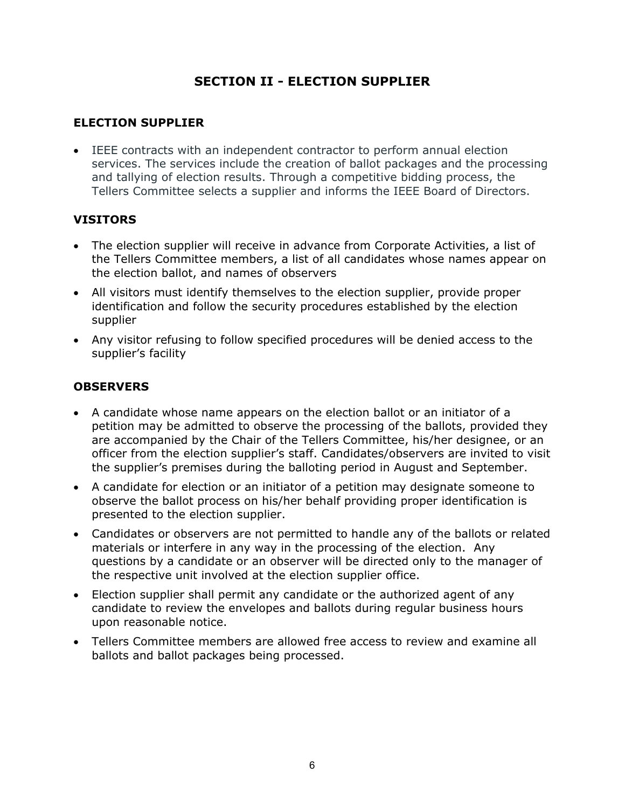# **SECTION II - ELECTION SUPPLIER**

# **ELECTION SUPPLIER**

 IEEE contracts with an independent contractor to perform annual election services. The services include the creation of ballot packages and the processing and tallying of election results. Through a competitive bidding process, the Tellers Committee selects a supplier and informs the IEEE Board of Directors.

# **VISITORS**

- The election supplier will receive in advance from Corporate Activities, a list of the Tellers Committee members, a list of all candidates whose names appear on the election ballot, and names of observers
- All visitors must identify themselves to the election supplier, provide proper identification and follow the security procedures established by the election supplier
- Any visitor refusing to follow specified procedures will be denied access to the supplier's facility

# **OBSERVERS**

- A candidate whose name appears on the election ballot or an initiator of a petition may be admitted to observe the processing of the ballots, provided they are accompanied by the Chair of the Tellers Committee, his/her designee, or an officer from the election supplier's staff. Candidates/observers are invited to visit the supplier's premises during the balloting period in August and September.
- A candidate for election or an initiator of a petition may designate someone to observe the ballot process on his/her behalf providing proper identification is presented to the election supplier.
- Candidates or observers are not permitted to handle any of the ballots or related materials or interfere in any way in the processing of the election. Any questions by a candidate or an observer will be directed only to the manager of the respective unit involved at the election supplier office.
- Election supplier shall permit any candidate or the authorized agent of any candidate to review the envelopes and ballots during regular business hours upon reasonable notice.
- Tellers Committee members are allowed free access to review and examine all ballots and ballot packages being processed.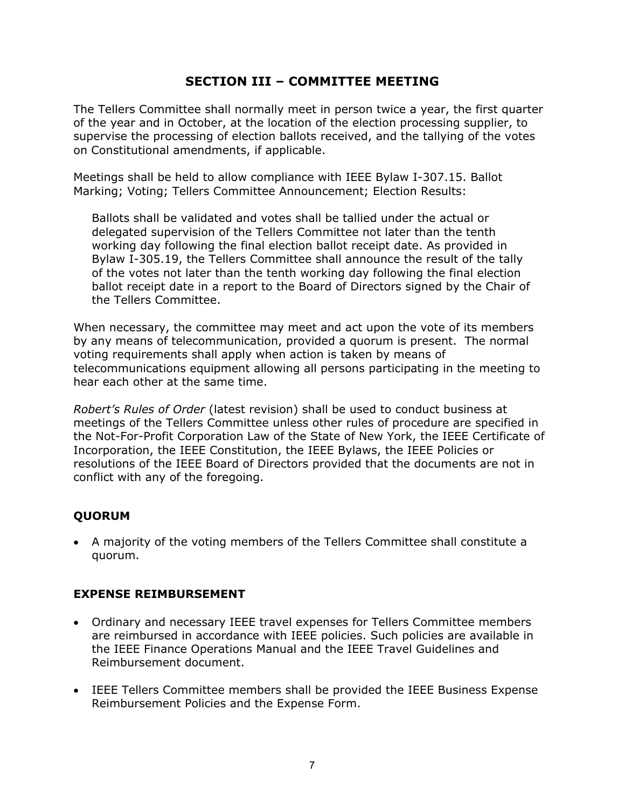# **SECTION III – COMMITTEE MEETING**

The Tellers Committee shall normally meet in person twice a year, the first quarter of the year and in October, at the location of the election processing supplier, to supervise the processing of election ballots received, and the tallying of the votes on Constitutional amendments, if applicable.

Meetings shall be held to allow compliance with IEEE Bylaw I-307.15. Ballot Marking; Voting; Tellers Committee Announcement; Election Results:

Ballots shall be validated and votes shall be tallied under the actual or delegated supervision of the Tellers Committee not later than the tenth working day following the final election ballot receipt date. As provided in Bylaw I-305.19, the Tellers Committee shall announce the result of the tally of the votes not later than the tenth working day following the final election ballot receipt date in a report to the Board of Directors signed by the Chair of the Tellers Committee.

When necessary, the committee may meet and act upon the vote of its members by any means of telecommunication, provided a quorum is present. The normal voting requirements shall apply when action is taken by means of telecommunications equipment allowing all persons participating in the meeting to hear each other at the same time.

*Robert's Rules of Order* (latest revision) shall be used to conduct business at meetings of the Tellers Committee unless other rules of procedure are specified in the Not-For-Profit Corporation Law of the State of New York, the IEEE Certificate of Incorporation, the IEEE Constitution, the IEEE Bylaws, the IEEE Policies or resolutions of the IEEE Board of Directors provided that the documents are not in conflict with any of the foregoing.

# **QUORUM**

 A majority of the voting members of the Tellers Committee shall constitute a quorum.

# **EXPENSE REIMBURSEMENT**

- Ordinary and necessary IEEE travel expenses for Tellers Committee members are reimbursed in accordance with IEEE policies. Such policies are available in the IEEE Finance Operations Manual and the IEEE Travel Guidelines and Reimbursement document.
- IEEE Tellers Committee members shall be provided the IEEE Business Expense Reimbursement Policies and the Expense Form.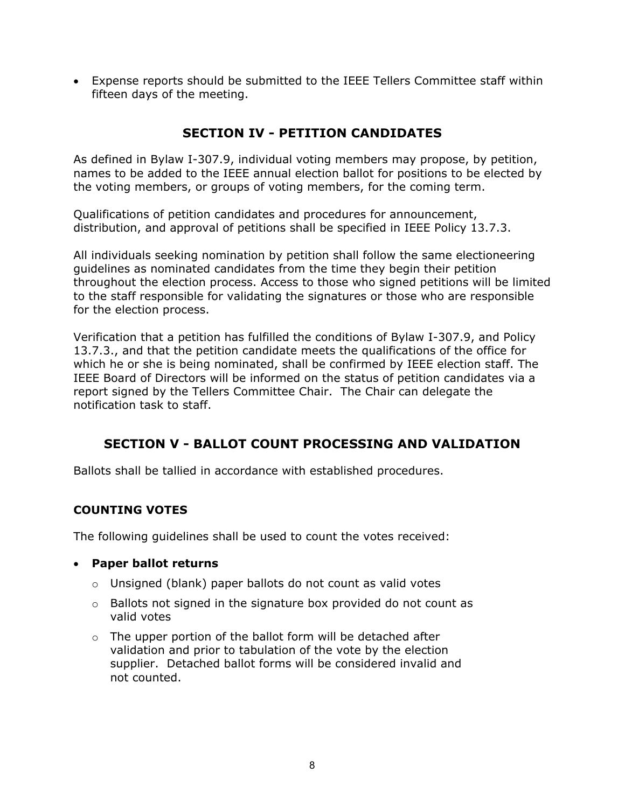Expense reports should be submitted to the IEEE Tellers Committee staff within fifteen days of the meeting.

# **SECTION IV - PETITION CANDIDATES**

As defined in Bylaw I-307.9, individual voting members may propose, by petition, names to be added to the IEEE annual election ballot for positions to be elected by the voting members, or groups of voting members, for the coming term.

Qualifications of petition candidates and procedures for announcement, distribution, and approval of petitions shall be specified in IEEE Policy 13.7.3.

All individuals seeking nomination by petition shall follow the same electioneering guidelines as nominated candidates from the time they begin their petition throughout the election process. Access to those who signed petitions will be limited to the staff responsible for validating the signatures or those who are responsible for the election process.

Verification that a petition has fulfilled the conditions of Bylaw I-307.9, and Policy 13.7.3., and that the petition candidate meets the qualifications of the office for which he or she is being nominated, shall be confirmed by IEEE election staff. The IEEE Board of Directors will be informed on the status of petition candidates via a report signed by the Tellers Committee Chair. The Chair can delegate the notification task to staff.

# **SECTION V - BALLOT COUNT PROCESSING AND VALIDATION**

Ballots shall be tallied in accordance with established procedures.

# **COUNTING VOTES**

The following guidelines shall be used to count the votes received:

- **Paper ballot returns**
	- o Unsigned (blank) paper ballots do not count as valid votes
	- o Ballots not signed in the signature box provided do not count as valid votes
	- $\circ$  The upper portion of the ballot form will be detached after validation and prior to tabulation of the vote by the election supplier. Detached ballot forms will be considered invalid and not counted.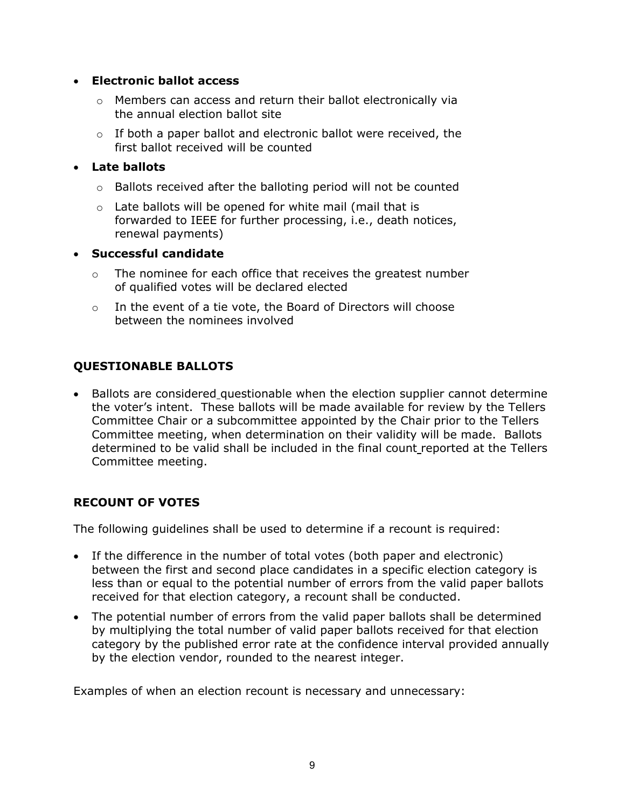#### **Electronic ballot access**

- o Members can access and return their ballot electronically via the annual election ballot site
- $\circ$  If both a paper ballot and electronic ballot were received, the first ballot received will be counted

#### **Late ballots**

- o Ballots received after the balloting period will not be counted
- o Late ballots will be opened for white mail (mail that is forwarded to IEEE for further processing, i.e., death notices, renewal payments)

#### **Successful candidate**

- $\circ$  The nominee for each office that receives the greatest number of qualified votes will be declared elected
- o In the event of a tie vote, the Board of Directors will choose between the nominees involved

# **QUESTIONABLE BALLOTS**

• Ballots are considered questionable when the election supplier cannot determine the voter's intent. These ballots will be made available for review by the Tellers Committee Chair or a subcommittee appointed by the Chair prior to the Tellers Committee meeting, when determination on their validity will be made. Ballots determined to be valid shall be included in the final count reported at the Tellers Committee meeting.

# **RECOUNT OF VOTES**

The following guidelines shall be used to determine if a recount is required:

- If the difference in the number of total votes (both paper and electronic) between the first and second place candidates in a specific election category is less than or equal to the potential number of errors from the valid paper ballots received for that election category, a recount shall be conducted.
- The potential number of errors from the valid paper ballots shall be determined by multiplying the total number of valid paper ballots received for that election category by the published error rate at the confidence interval provided annually by the election vendor, rounded to the nearest integer.

Examples of when an election recount is necessary and unnecessary: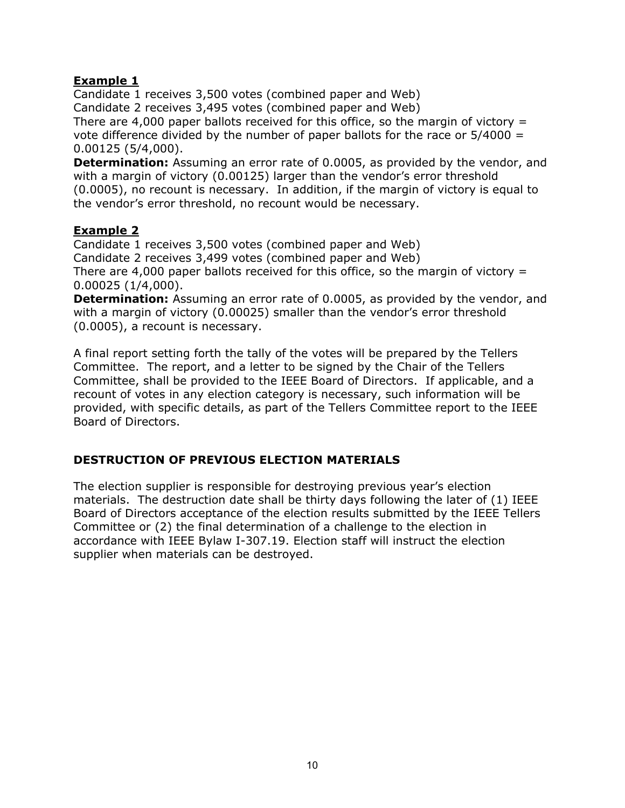# **Example 1**

Candidate 1 receives 3,500 votes (combined paper and Web) Candidate 2 receives 3,495 votes (combined paper and Web) There are 4,000 paper ballots received for this office, so the margin of victory  $=$ vote difference divided by the number of paper ballots for the race or  $5/4000 =$ 0.00125 (5/4,000).

**Determination:** Assuming an error rate of 0.0005, as provided by the vendor, and with a margin of victory (0.00125) larger than the vendor's error threshold (0.0005), no recount is necessary. In addition, if the margin of victory is equal to the vendor's error threshold, no recount would be necessary.

#### **Example 2**

Candidate 1 receives 3,500 votes (combined paper and Web) Candidate 2 receives 3,499 votes (combined paper and Web) There are 4,000 paper ballots received for this office, so the margin of victory  $=$ 0.00025 (1/4,000).

**Determination:** Assuming an error rate of 0.0005, as provided by the vendor, and with a margin of victory (0.00025) smaller than the vendor's error threshold (0.0005), a recount is necessary.

A final report setting forth the tally of the votes will be prepared by the Tellers Committee. The report, and a letter to be signed by the Chair of the Tellers Committee, shall be provided to the IEEE Board of Directors. If applicable, and a recount of votes in any election category is necessary, such information will be provided, with specific details, as part of the Tellers Committee report to the IEEE Board of Directors.

# **DESTRUCTION OF PREVIOUS ELECTION MATERIALS**

The election supplier is responsible for destroying previous year's election materials. The destruction date shall be thirty days following the later of (1) IEEE Board of Directors acceptance of the election results submitted by the IEEE Tellers Committee or (2) the final determination of a challenge to the election in accordance with IEEE Bylaw I-307.19. Election staff will instruct the election supplier when materials can be destroyed.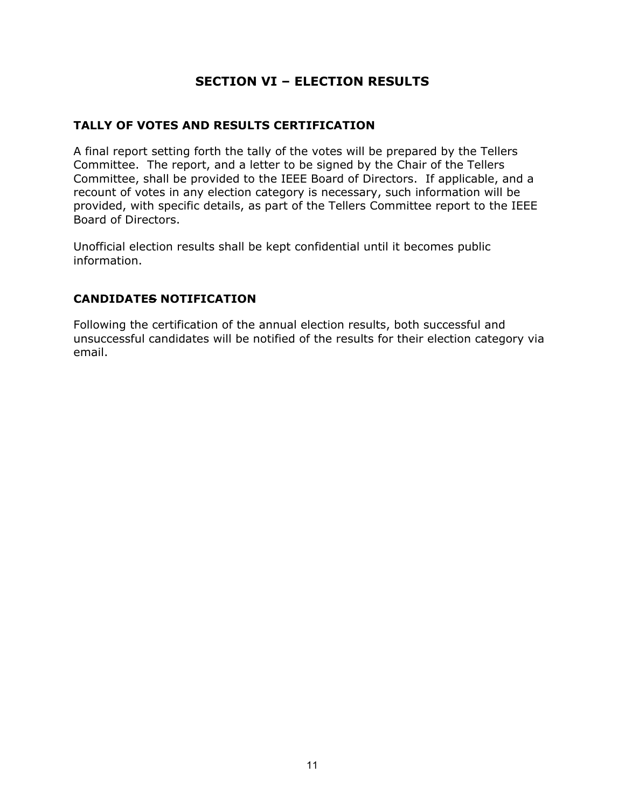# **SECTION VI – ELECTION RESULTS**

#### **TALLY OF VOTES AND RESULTS CERTIFICATION**

A final report setting forth the tally of the votes will be prepared by the Tellers Committee. The report, and a letter to be signed by the Chair of the Tellers Committee, shall be provided to the IEEE Board of Directors. If applicable, and a recount of votes in any election category is necessary, such information will be provided, with specific details, as part of the Tellers Committee report to the IEEE Board of Directors.

Unofficial election results shall be kept confidential until it becomes public information.

# **CANDIDATES NOTIFICATION**

Following the certification of the annual election results, both successful and unsuccessful candidates will be notified of the results for their election category via email.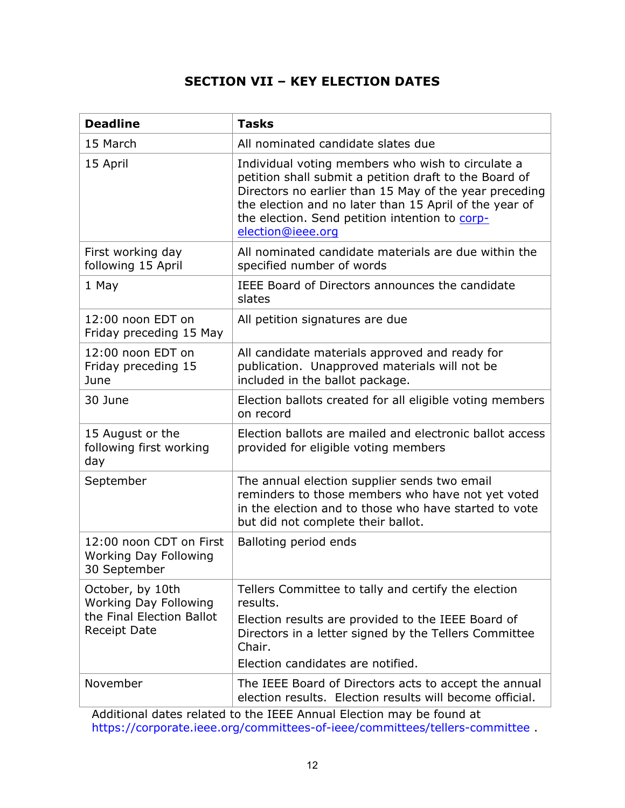# **SECTION VII – KEY ELECTION DATES**

| <b>Deadline</b>                                                                               | <b>Tasks</b>                                                                                                                                                                                                                                                                                           |
|-----------------------------------------------------------------------------------------------|--------------------------------------------------------------------------------------------------------------------------------------------------------------------------------------------------------------------------------------------------------------------------------------------------------|
| 15 March                                                                                      | All nominated candidate slates due                                                                                                                                                                                                                                                                     |
| 15 April                                                                                      | Individual voting members who wish to circulate a<br>petition shall submit a petition draft to the Board of<br>Directors no earlier than 15 May of the year preceding<br>the election and no later than 15 April of the year of<br>the election. Send petition intention to corp-<br>election@ieee.org |
| First working day<br>following 15 April                                                       | All nominated candidate materials are due within the<br>specified number of words                                                                                                                                                                                                                      |
| 1 May                                                                                         | IEEE Board of Directors announces the candidate<br>slates                                                                                                                                                                                                                                              |
| 12:00 noon EDT on<br>Friday preceding 15 May                                                  | All petition signatures are due                                                                                                                                                                                                                                                                        |
| 12:00 noon EDT on<br>Friday preceding 15<br>June                                              | All candidate materials approved and ready for<br>publication. Unapproved materials will not be<br>included in the ballot package.                                                                                                                                                                     |
| 30 June                                                                                       | Election ballots created for all eligible voting members<br>on record                                                                                                                                                                                                                                  |
| 15 August or the<br>following first working<br>day                                            | Election ballots are mailed and electronic ballot access<br>provided for eligible voting members                                                                                                                                                                                                       |
| September                                                                                     | The annual election supplier sends two email<br>reminders to those members who have not yet voted<br>in the election and to those who have started to vote<br>but did not complete their ballot.                                                                                                       |
| 12:00 noon CDT on First<br><b>Working Day Following</b><br>30 September                       | Balloting period ends                                                                                                                                                                                                                                                                                  |
| October, by 10th<br><b>Working Day Following</b><br>the Final Election Ballot<br>Receipt Date | Tellers Committee to tally and certify the election<br>results.                                                                                                                                                                                                                                        |
|                                                                                               | Election results are provided to the IEEE Board of<br>Directors in a letter signed by the Tellers Committee<br>Chair.<br>Election candidates are notified.                                                                                                                                             |
| November                                                                                      | The IEEE Board of Directors acts to accept the annual<br>election results. Election results will become official.                                                                                                                                                                                      |

Additional dates related to the IEEE Annual Election may be found at https://corporate.ieee.org/committees-of-ieee/committees/tellers-committee .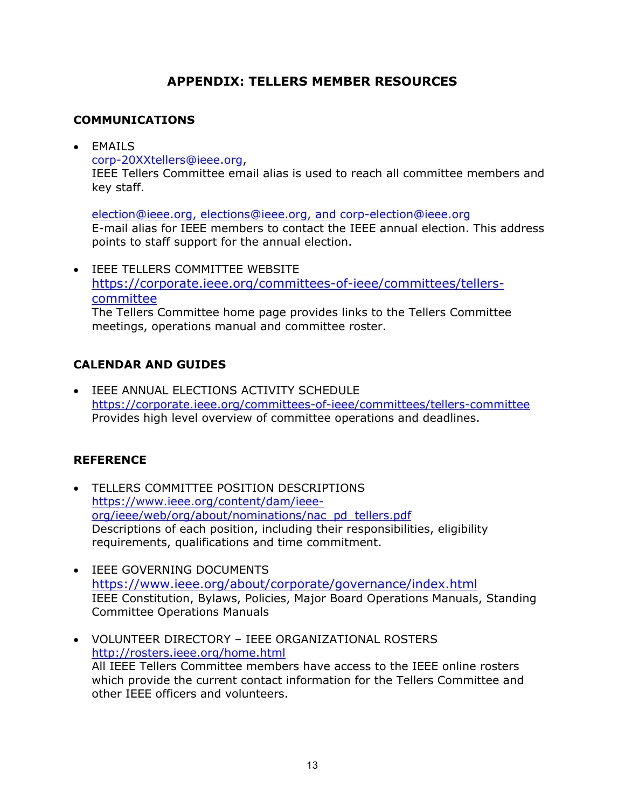# **APPENDIX: TELLERS MEMBER RESOURCES**

# **COMMUNICATIONS**

EMAILS

corp-20XXtellers@ieee.org,

IEEE Tellers Committee email alias is used to reach all committee members and key staff.

election@ieee.org, elections@ieee.org, and corp-election@ieee.org E-mail alias for IEEE members to contact the IEEE annual election. This address points to staff support for the annual election.

 IEEE TELLERS COMMITTEE WEBSITE https://corporate.ieee.org/committees-of-ieee/committees/tellerscommittee The Tellers Committee home page provides links to the Tellers Committee meetings, operations manual and committee roster.

# **CALENDAR AND GUIDES**

 IEEE ANNUAL ELECTIONS ACTIVITY SCHEDULE https://corporate.ieee.org/committees-of-ieee/committees/tellers-committee Provides high level overview of committee operations and deadlines.

# **REFERENCE**

- TELLERS COMMITTEE POSITION DESCRIPTIONS https://www.ieee.org/content/dam/ieeeorg/ieee/web/org/about/nominations/nac\_pd\_tellers.pdf Descriptions of each position, including their responsibilities, eligibility requirements, qualifications and time commitment.
- **IEEE GOVERNING DOCUMENTS** https://www.ieee.org/about/corporate/governance/index.html IEEE Constitution, Bylaws, Policies, Major Board Operations Manuals, Standing Committee Operations Manuals
- VOLUNTEER DIRECTORY IEEE ORGANIZATIONAL ROSTERS http://rosters.ieee.org/home.html All IEEE Tellers Committee members have access to the IEEE online rosters which provide the current contact information for the Tellers Committee and other IEEE officers and volunteers.